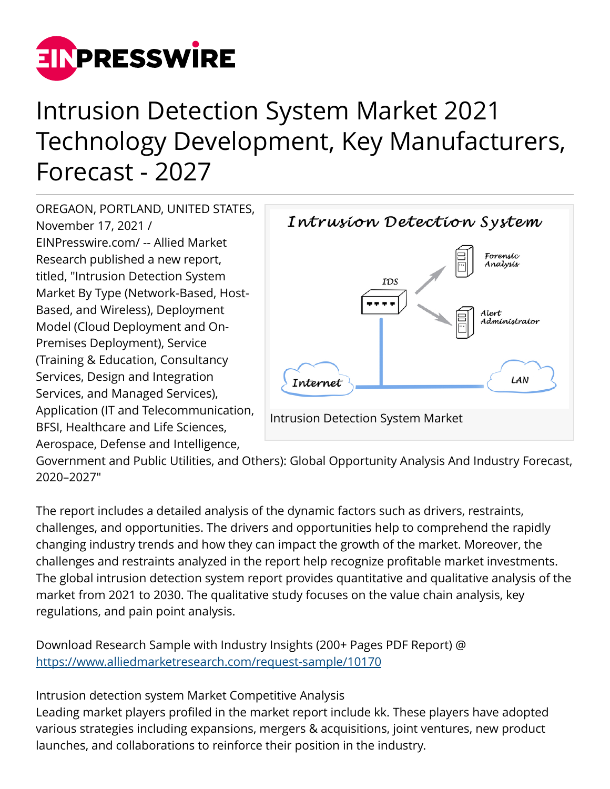

# Intrusion Detection System Market 2021 Technology Development, Key Manufacturers, Forecast - 2027

OREGAON, PORTLAND, UNITED STATES, November 17, 2021 / [EINPresswire.com](http://www.einpresswire.com)/ -- Allied Market Research published a new report, titled, "Intrusion Detection System Market By Type (Network-Based, Host-Based, and Wireless), Deployment Model (Cloud Deployment and On-Premises Deployment), Service (Training & Education, Consultancy Services, Design and Integration Services, and Managed Services), Application (IT and Telecommunication, BFSI, Healthcare and Life Sciences, Aerospace, Defense and Intelligence,



Government and Public Utilities, and Others): Global Opportunity Analysis And Industry Forecast, 2020–2027"

The report includes a detailed analysis of the dynamic factors such as drivers, restraints, challenges, and opportunities. The drivers and opportunities help to comprehend the rapidly changing industry trends and how they can impact the growth of the market. Moreover, the challenges and restraints analyzed in the report help recognize profitable market investments. The global intrusion detection system report provides quantitative and qualitative analysis of the market from 2021 to 2030. The qualitative study focuses on the value chain analysis, key regulations, and pain point analysis.

Download Research Sample with Industry Insights (200+ Pages PDF Report) @ <https://www.alliedmarketresearch.com/request-sample/10170>

Intrusion detection system Market Competitive Analysis

Leading market players profiled in the market report include kk. These players have adopted various strategies including expansions, mergers & acquisitions, joint ventures, new product launches, and collaborations to reinforce their position in the industry.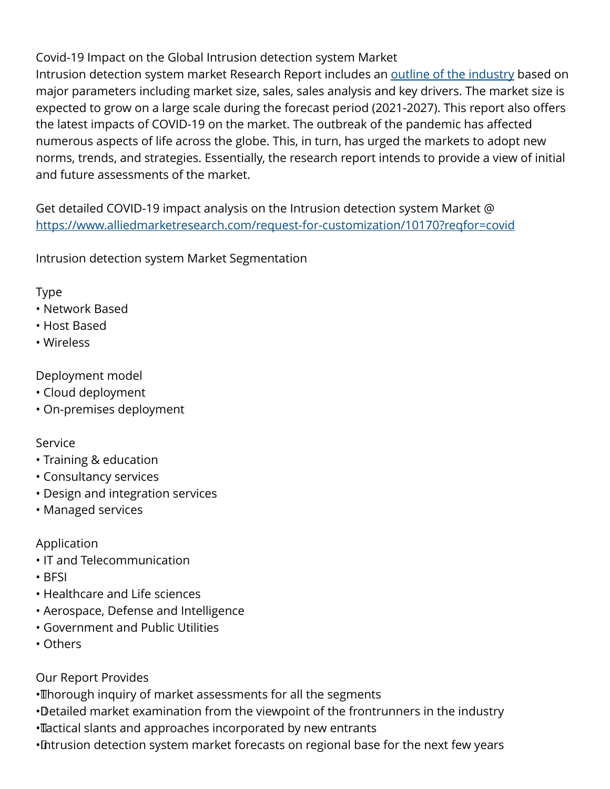Covid-19 Impact on the Global Intrusion detection system Market Intrusion detection system market Research Report includes an [outline of the industry](https://www.alliedmarketresearch.com/intrusion-detection-system-market-A09805) based on major parameters including market size, sales, sales analysis and key drivers. The market size is expected to grow on a large scale during the forecast period (2021-2027). This report also offers the latest impacts of COVID-19 on the market. The outbreak of the pandemic has affected numerous aspects of life across the globe. This, in turn, has urged the markets to adopt new norms, trends, and strategies. Essentially, the research report intends to provide a view of initial and future assessments of the market.

Get detailed COVID-19 impact analysis on the Intrusion detection system Market @ <https://www.alliedmarketresearch.com/request-for-customization/10170?reqfor=covid>

Intrusion detection system Market Segmentation

#### Type

- Network Based
- Host Based
- Wireless

### Deployment model

- Cloud deployment
- On-premises deployment

#### Service

- Training & education
- Consultancy services
- Design and integration services
- Managed services

## Application

- IT and Telecommunication
- BFSI
- Healthcare and Life sciences
- Aerospace, Defense and Intelligence
- Government and Public Utilities
- Others

# Our Report Provides

• Thorough inquiry of market assessments for all the segments

- • Detailed market examination from the viewpoint of the frontrunners in the industry
- • Tactical slants and approaches incorporated by new entrants
- Intrusion detection system market forecasts on regional base for the next few years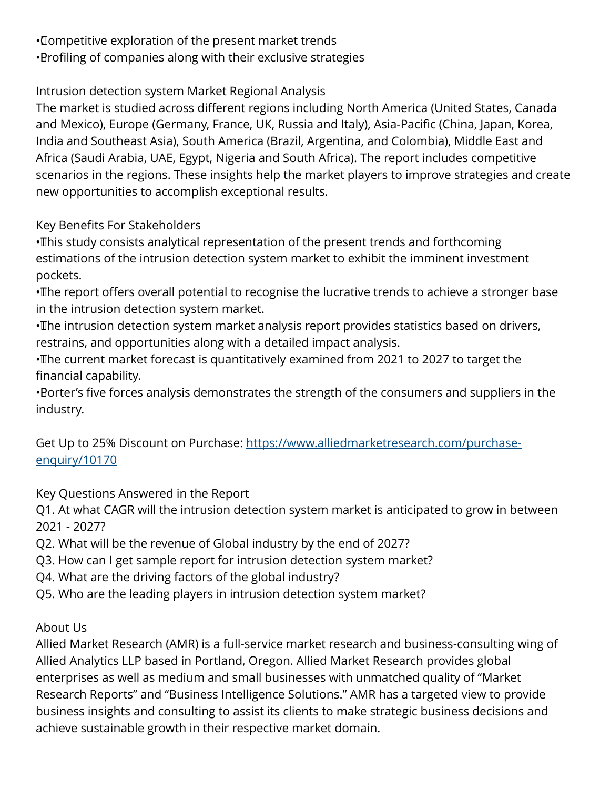• Competitive exploration of the present market trends • Profiling of companies along with their exclusive strategies

Intrusion detection system Market Regional Analysis

The market is studied across different regions including North America (United States, Canada and Mexico), Europe (Germany, France, UK, Russia and Italy), Asia-Pacific (China, Japan, Korea, India and Southeast Asia), South America (Brazil, Argentina, and Colombia), Middle East and Africa (Saudi Arabia, UAE, Egypt, Nigeria and South Africa). The report includes competitive scenarios in the regions. These insights help the market players to improve strategies and create new opportunities to accomplish exceptional results.

Key Benefits For Stakeholders

• This study consists analytical representation of the present trends and forthcoming estimations of the intrusion detection system market to exhibit the imminent investment pockets.

• The report offers overall potential to recognise the lucrative trends to achieve a stronger base in the intrusion detection system market.

• The intrusion detection system market analysis report provides statistics based on drivers, restrains, and opportunities along with a detailed impact analysis.

• The current market forecast is quantitatively examined from 2021 to 2027 to target the financial capability.

• Porter's five forces analysis demonstrates the strength of the consumers and suppliers in the industry.

Get Up to 25% Discount on Purchase: [https://www.alliedmarketresearch.com/purchase](https://www.alliedmarketresearch.com/purchase-enquiry/10170)[enquiry/10170](https://www.alliedmarketresearch.com/purchase-enquiry/10170)

Key Questions Answered in the Report

Q1. At what CAGR will the intrusion detection system market is anticipated to grow in between 2021 - 2027?

- Q2. What will be the revenue of Global industry by the end of 2027?
- Q3. How can I get sample report for intrusion detection system market?
- Q4. What are the driving factors of the global industry?
- Q5. Who are the leading players in intrusion detection system market?

# About Us

Allied Market Research (AMR) is a full-service market research and business-consulting wing of Allied Analytics LLP based in Portland, Oregon. Allied Market Research provides global enterprises as well as medium and small businesses with unmatched quality of "Market Research Reports" and "Business Intelligence Solutions." AMR has a targeted view to provide business insights and consulting to assist its clients to make strategic business decisions and achieve sustainable growth in their respective market domain.